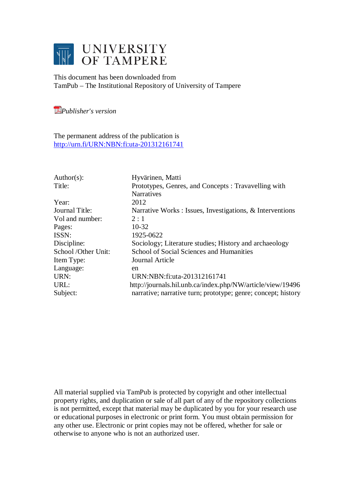

This document has been downloaded from TamPub – The Institutional Repository of University of Tampere

*[P](http://tampub.uta.fi/english/haekokoversio.php?id=1007)ublisher's version* 

The permanent address of the publication is <http://urn.fi/URN:NBN:fi:uta-201312161741>

| Author(s):          | Hyvärinen, Matti                                              |
|---------------------|---------------------------------------------------------------|
| Title:              | Prototypes, Genres, and Concepts: Travavelling with           |
|                     | <b>Narratives</b>                                             |
| Year:               | 2012                                                          |
| Journal Title:      | Narrative Works : Issues, Investigations, & Interventions     |
| Vol and number:     | 2:1                                                           |
| Pages:              | $10-32$                                                       |
| ISSN:               | 1925-0622                                                     |
| Discipline:         | Sociology; Literature studies; History and archaeology        |
| School /Other Unit: | School of Social Sciences and Humanities                      |
| Item Type:          | Journal Article                                               |
| Language:           | en                                                            |
| URN:                | URN:NBN:fi:uta-201312161741                                   |
| URL:                | http://journals.hil.unb.ca/index.php/NW/article/view/19496    |
| Subject:            | narrative; narrative turn; prototype; genre; concept; history |
|                     |                                                               |

All material supplied via TamPub is protected by copyright and other intellectual property rights, and duplication or sale of all part of any of the repository collections is not permitted, except that material may be duplicated by you for your research use or educational purposes in electronic or print form. You must obtain permission for any other use. Electronic or print copies may not be offered, whether for sale or otherwise to anyone who is not an authorized user.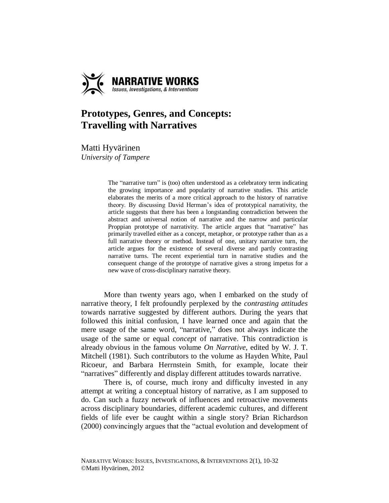

# **Prototypes, Genres, and Concepts: Travelling with Narratives**

Matti Hyvärinen *University of Tampere*

> The "narrative turn" is (too) often understood as a celebratory term indicating the growing importance and popularity of narrative studies. This article elaborates the merits of a more critical approach to the history of narrative theory. By discussing David Herman's idea of prototypical narrativity, the article suggests that there has been a longstanding contradiction between the abstract and universal notion of narrative and the narrow and particular Proppian prototype of narrativity. The article argues that "narrative" has primarily travelled either as a concept, metaphor, or prototype rather than as a full narrative theory or method. Instead of one, unitary narrative turn, the article argues for the existence of several diverse and partly contrasting narrative turns. The recent experiential turn in narrative studies and the consequent change of the prototype of narrative gives a strong impetus for a new wave of cross-disciplinary narrative theory.

More than twenty years ago, when I embarked on the study of narrative theory, I felt profoundly perplexed by the *contrasting attitudes* towards narrative suggested by different authors. During the years that followed this initial confusion, I have learned once and again that the mere usage of the same word, "narrative," does not always indicate the usage of the same or equal *concept* of narrative. This contradiction is already obvious in the famous volume *On Narrative*, edited by W. J. T. Mitchell (1981). Such contributors to the volume as Hayden White, Paul Ricoeur, and Barbara Herrnstein Smith, for example, locate their "narratives" differently and display different attitudes towards narrative.

There is, of course, much irony and difficulty invested in any attempt at writing a conceptual history of narrative, as I am supposed to do. Can such a fuzzy network of influences and retroactive movements across disciplinary boundaries, different academic cultures, and different fields of life ever be caught within a single story? Brian Richardson (2000) convincingly argues that the "actual evolution and development of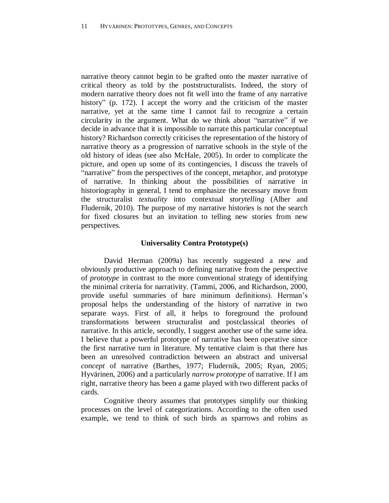narrative theory cannot begin to be grafted onto the master narrative of critical theory as told by the poststructuralists. Indeed, the story of modern narrative theory does not fit well into the frame of any narrative history" (p. 172). I accept the worry and the criticism of the master narrative, yet at the same time I cannot fail to recognize a certain circularity in the argument. What do we think about "narrative" if we decide in advance that it is impossible to narrate this particular conceptual history? Richardson correctly criticises the representation of the history of narrative theory as a progression of narrative schools in the style of the old history of ideas (see also McHale, 2005). In order to complicate the picture, and open up some of its contingencies, I discuss the travels of "narrative" from the perspectives of the concept, metaphor, and prototype of narrative. In thinking about the possibilities of narrative in historiography in general, I tend to emphasize the necessary move from the structuralist *textuality* into contextual *storytelling* (Alber and Fludernik, 2010). The purpose of my narrative histories is not the search for fixed closures but an invitation to telling new stories from new perspectives.

## **Universality Contra Prototype(s)**

David Herman (2009a) has recently suggested a new and obviously productive approach to defining narrative from the perspective of *prototype* in contrast to the more conventional strategy of identifying the minimal criteria for narrativity. (Tammi, 2006, and Richardson, 2000, provide useful summaries of bare minimum definitions). Herman's proposal helps the understanding of the history of narrative in two separate ways. First of all, it helps to foreground the profound transformations between structuralist and postclassical theories of narrative. In this article, secondly, I suggest another use of the same idea. I believe that a powerful prototype of narrative has been operative since the first narrative turn in literature. My tentative claim is that there has been an unresolved contradiction between an abstract and universal *concept* of narrative (Barthes, 1977; Fludernik, 2005; Ryan, 2005; Hyvärinen, 2006) and a particularly *narrow prototype* of narrative. If I am right, narrative theory has been a game played with two different packs of cards.

Cognitive theory assumes that prototypes simplify our thinking processes on the level of categorizations. According to the often used example, we tend to think of such birds as sparrows and robins as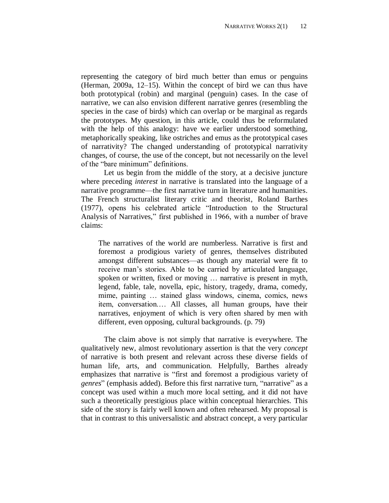representing the category of bird much better than emus or penguins (Herman, 2009a, 12–15). Within the concept of bird we can thus have both prototypical (robin) and marginal (penguin) cases. In the case of narrative, we can also envision different narrative genres (resembling the species in the case of birds) which can overlap or be marginal as regards the prototypes. My question, in this article, could thus be reformulated with the help of this analogy: have we earlier understood something, metaphorically speaking, like ostriches and emus as the prototypical cases of narrativity? The changed understanding of prototypical narrativity changes, of course, the use of the concept, but not necessarily on the level of the "bare minimum" definitions.

Let us begin from the middle of the story, at a decisive juncture where preceding *interest* in narrative is translated into the language of a narrative programme—the first narrative turn in literature and humanities. The French structuralist literary critic and theorist, Roland Barthes (1977), opens his celebrated article "Introduction to the Structural Analysis of Narratives," first published in 1966, with a number of brave claims:

The narratives of the world are numberless. Narrative is first and foremost a prodigious variety of genres, themselves distributed amongst different substances—as though any material were fit to receive man's stories. Able to be carried by articulated language, spoken or written, fixed or moving … narrative is present in myth, legend, fable, tale, novella, epic, history, tragedy, drama, comedy, mime, painting … stained glass windows, cinema, comics, news item, conversation.… All classes, all human groups, have their narratives, enjoyment of which is very often shared by men with different, even opposing, cultural backgrounds. (p. 79)

The claim above is not simply that narrative is everywhere. The qualitatively new, almost revolutionary assertion is that the very *concept*  of narrative is both present and relevant across these diverse fields of human life, arts, and communication. Helpfully, Barthes already emphasizes that narrative is "first and foremost a prodigious variety of *genres*" (emphasis added). Before this first narrative turn, "narrative" as a concept was used within a much more local setting, and it did not have such a theoretically prestigious place within conceptual hierarchies. This side of the story is fairly well known and often rehearsed. My proposal is that in contrast to this universalistic and abstract concept, a very particular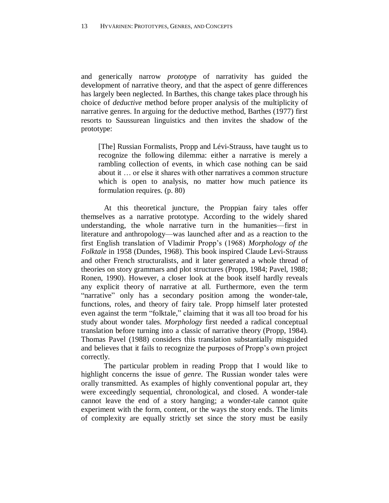and generically narrow *prototyp*e of narrativity has guided the development of narrative theory, and that the aspect of genre differences has largely been neglected. In Barthes, this change takes place through his choice of *deductive* method before proper analysis of the multiplicity of narrative genres. In arguing for the deductive method, Barthes (1977) first resorts to Saussurean linguistics and then invites the shadow of the prototype:

[The] Russian Formalists, Propp and Lévi-Strauss, have taught us to recognize the following dilemma: either a narrative is merely a rambling collection of events, in which case nothing can be said about it … or else it shares with other narratives a common structure which is open to analysis, no matter how much patience its formulation requires. (p. 80)

At this theoretical juncture, the Proppian fairy tales offer themselves as a narrative prototype. According to the widely shared understanding, the whole narrative turn in the humanities—first in literature and anthropology—was launched after and as a reaction to the first English translation of Vladimir Propp's (1968) *Morphology of the Folktale* in 1958 (Dundes, 1968). This book inspired Claude Levi-Strauss and other French structuralists, and it later generated a whole thread of theories on story grammars and plot structures (Propp, 1984; Pavel, 1988; Ronen, 1990). However, a closer look at the book itself hardly reveals any explicit theory of narrative at all. Furthermore, even the term "narrative" only has a secondary position among the wonder-tale, functions, roles, and theory of fairy tale. Propp himself later protested even against the term "folktale," claiming that it was all too broad for his study about wonder tales. *Morphology* first needed a radical conceptual translation before turning into a classic of narrative theory (Propp, 1984). Thomas Pavel (1988) considers this translation substantially misguided and believes that it fails to recognize the purposes of Propp's own project correctly.

The particular problem in reading Propp that I would like to highlight concerns the issue of *genre*. The Russian wonder tales were orally transmitted. As examples of highly conventional popular art, they were exceedingly sequential, chronological, and closed. A wonder-tale cannot leave the end of a story hanging; a wonder-tale cannot quite experiment with the form, content, or the ways the story ends. The limits of complexity are equally strictly set since the story must be easily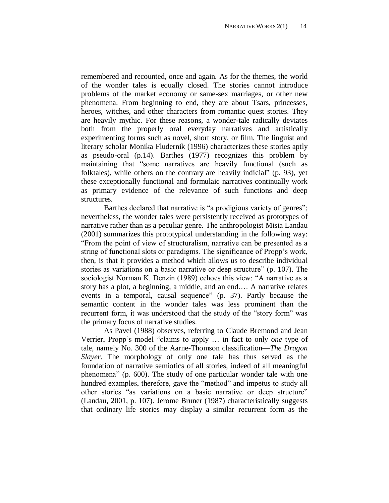remembered and recounted, once and again. As for the themes, the world of the wonder tales is equally closed. The stories cannot introduce problems of the market economy or same-sex marriages, or other new phenomena. From beginning to end, they are about Tsars, princesses, heroes, witches, and other characters from romantic quest stories. They are heavily mythic. For these reasons, a wonder-tale radically deviates both from the properly oral everyday narratives and artistically experimenting forms such as novel, short story, or film. The linguist and literary scholar Monika Fludernik (1996) characterizes these stories aptly as pseudo-oral (p.14). Barthes (1977) recognizes this problem by maintaining that "some narratives are heavily functional (such as folktales), while others on the contrary are heavily indicial" (p. 93), yet these exceptionally functional and formulaic narratives continually work as primary evidence of the relevance of such functions and deep structures.

Barthes declared that narrative is "a prodigious variety of genres"; nevertheless, the wonder tales were persistently received as prototypes of narrative rather than as a peculiar genre. The anthropologist Misia Landau (2001) summarizes this prototypical understanding in the following way: "From the point of view of structuralism, narrative can be presented as a string of functional slots or paradigms. The significance of Propp's work, then, is that it provides a method which allows us to describe individual stories as variations on a basic narrative or deep structure" (p. 107). The sociologist Norman K. Denzin (1989) echoes this view: "A narrative as a story has a plot, a beginning, a middle, and an end.… A narrative relates events in a temporal, causal sequence" (p. 37). Partly because the semantic content in the wonder tales was less prominent than the recurrent form, it was understood that the study of the "story form" was the primary focus of narrative studies.

As Pavel (1988) observes, referring to Claude Bremond and Jean Verrier, Propp's model "claims to apply … in fact to only *one* type of tale, namely No. 300 of the Aarne-Thomson classification—*The Dragon Slayer*. The morphology of only one tale has thus served as the foundation of narrative semiotics of all stories, indeed of all meaningful phenomena" (p. 600). The study of one particular wonder tale with one hundred examples, therefore, gave the "method" and impetus to study all other stories "as variations on a basic narrative or deep structure" (Landau, 2001, p. 107). Jerome Bruner (1987) characteristically suggests that ordinary life stories may display a similar recurrent form as the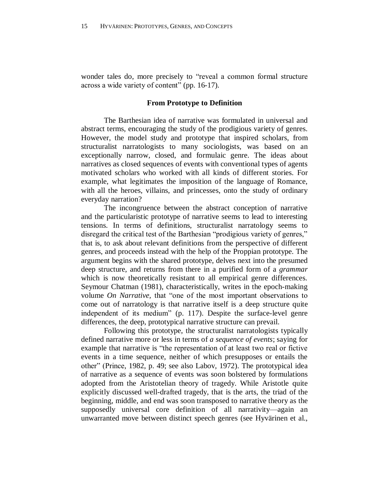wonder tales do, more precisely to "reveal a common formal structure across a wide variety of content" (pp. 16-17).

#### **From Prototype to Definition**

The Barthesian idea of narrative was formulated in universal and abstract terms, encouraging the study of the prodigious variety of genres. However, the model study and prototype that inspired scholars, from structuralist narratologists to many sociologists, was based on an exceptionally narrow, closed, and formulaic genre. The ideas about narratives as closed sequences of events with conventional types of agents motivated scholars who worked with all kinds of different stories. For example, what legitimates the imposition of the language of Romance, with all the heroes, villains, and princesses, onto the study of ordinary everyday narration?

The incongruence between the abstract conception of narrative and the particularistic prototype of narrative seems to lead to interesting tensions. In terms of definitions, structuralist narratology seems to disregard the critical test of the Barthesian "prodigious variety of genres," that is, to ask about relevant definitions from the perspective of different genres, and proceeds instead with the help of the Proppian prototype. The argument begins with the shared prototype, delves next into the presumed deep structure, and returns from there in a purified form of a *grammar* which is now theoretically resistant to all empirical genre differences. Seymour Chatman (1981), characteristically, writes in the epoch-making volume *On Narrative,* that "one of the most important observations to come out of narratology is that narrative itself is a deep structure quite independent of its medium" (p. 117). Despite the surface-level genre differences, the deep, prototypical narrative structure can prevail.

Following this prototype, the structuralist narratologists typically defined narrative more or less in terms of *a sequence of events*; saying for example that narrative is "the representation of at least two real or fictive events in a time sequence, neither of which presupposes or entails the other" (Prince, 1982, p. 49; see also Labov, 1972). The prototypical idea of narrative as a sequence of events was soon bolstered by formulations adopted from the Aristotelian theory of tragedy. While Aristotle quite explicitly discussed well-drafted tragedy, that is the arts, the triad of the beginning, middle, and end was soon transposed to narrative theory as the supposedly universal core definition of all narrativity—again an unwarranted move between distinct speech genres (see Hyvärinen et al.,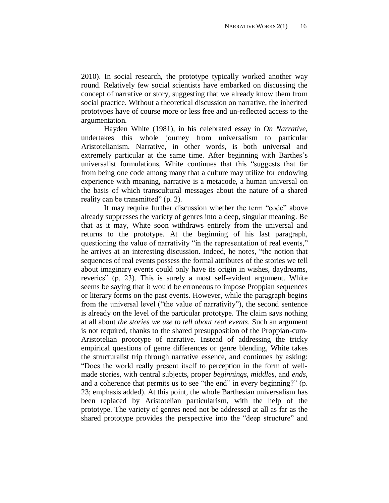2010). In social research, the prototype typically worked another way round. Relatively few social scientists have embarked on discussing the concept of narrative or story, suggesting that we already know them from social practice. Without a theoretical discussion on narrative, the inherited prototypes have of course more or less free and un-reflected access to the argumentation.

Hayden White (1981), in his celebrated essay in *On Narrative*, undertakes this whole journey from universalism to particular Aristotelianism. Narrative, in other words, is both universal and extremely particular at the same time. After beginning with Barthes's universalist formulations, White continues that this "suggests that far from being one code among many that a culture may utilize for endowing experience with meaning, narrative is a metacode, a human universal on the basis of which transcultural messages about the nature of a shared reality can be transmitted" (p. 2).

It may require further discussion whether the term "code" above already suppresses the variety of genres into a deep, singular meaning. Be that as it may, White soon withdraws entirely from the universal and returns to the prototype. At the beginning of his last paragraph, questioning the value of narrativity "in the representation of real events," he arrives at an interesting discussion. Indeed, he notes, "the notion that sequences of real events possess the formal attributes of the stories we tell about imaginary events could only have its origin in wishes, daydreams, reveries" (p. 23). This is surely a most self-evident argument. White seems be saying that it would be erroneous to impose Proppian sequences or literary forms on the past events. However, while the paragraph begins from the universal level ("the value of narrativity"), the second sentence is already on the level of the particular prototype. The claim says nothing at all about *the stories we use to tell about real events*. Such an argument is not required, thanks to the shared presupposition of the Proppian-cum-Aristotelian prototype of narrative. Instead of addressing the tricky empirical questions of genre differences or genre blending, White takes the structuralist trip through narrative essence, and continues by asking: "Does the world really present itself to perception in the form of wellmade stories, with central subjects, proper *beginnings*, *middles*, and *ends*, and a coherence that permits us to see "the end" in every beginning?" (p. 23; emphasis added). At this point, the whole Barthesian universalism has been replaced by Aristotelian particularism, with the help of the prototype. The variety of genres need not be addressed at all as far as the shared prototype provides the perspective into the "deep structure" and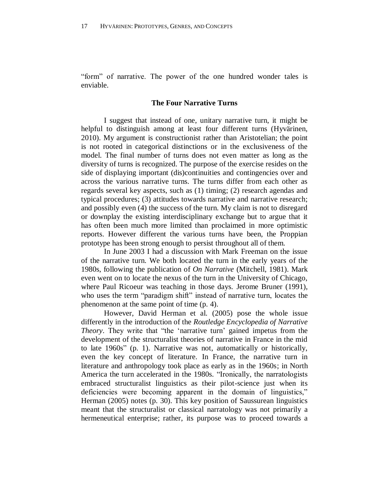"form" of narrative. The power of the one hundred wonder tales is enviable.

## **The Four Narrative Turns**

I suggest that instead of one, unitary narrative turn, it might be helpful to distinguish among at least four different turns (Hyvärinen, 2010). My argument is constructionist rather than Aristotelian; the point is not rooted in categorical distinctions or in the exclusiveness of the model. The final number of turns does not even matter as long as the diversity of turns is recognized. The purpose of the exercise resides on the side of displaying important (dis)continuities and contingencies over and across the various narrative turns. The turns differ from each other as regards several key aspects, such as (1) timing; (2) research agendas and typical procedures; (3) attitudes towards narrative and narrative research; and possibly even (4) the success of the turn. My claim is not to disregard or downplay the existing interdisciplinary exchange but to argue that it has often been much more limited than proclaimed in more optimistic reports. However different the various turns have been, the Proppian prototype has been strong enough to persist throughout all of them.

In June 2003 I had a discussion with Mark Freeman on the issue of the narrative turn. We both located the turn in the early years of the 1980s, following the publication of *On Narrative* (Mitchell, 1981). Mark even went on to locate the nexus of the turn in the University of Chicago, where Paul Ricoeur was teaching in those days. Jerome Bruner (1991), who uses the term "paradigm shift" instead of narrative turn, locates the phenomenon at the same point of time (p. 4).

However, David Herman et al. (2005) pose the whole issue differently in the introduction of the *Routledge Encyclopedia of Narrative Theory*. They write that "the 'narrative turn' gained impetus from the development of the structuralist theories of narrative in France in the mid to late 1960s" (p. 1). Narrative was not, automatically or historically, even the key concept of literature. In France, the narrative turn in literature and anthropology took place as early as in the 1960s; in North America the turn accelerated in the 1980s. "Ironically, the narratologists embraced structuralist linguistics as their pilot-science just when its deficiencies were becoming apparent in the domain of linguistics," Herman (2005) notes (p. 30). This key position of Saussurean linguistics meant that the structuralist or classical narratology was not primarily a hermeneutical enterprise; rather, its purpose was to proceed towards a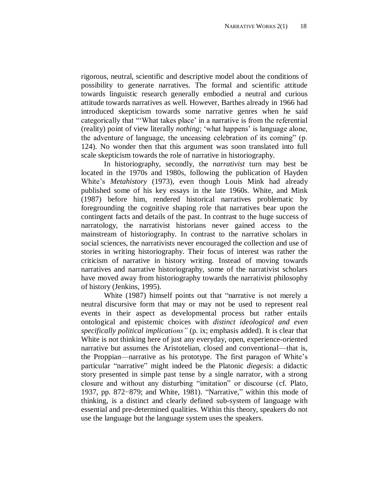rigorous, neutral, scientific and descriptive model about the conditions of possibility to generate narratives. The formal and scientific attitude towards linguistic research generally embodied a neutral and curious attitude towards narratives as well. However, Barthes already in 1966 had introduced skepticism towards some narrative genres when he said categorically that "'What takes place' in a narrative is from the referential (reality) point of view literally *nothing*; 'what happens' is language alone, the adventure of language, the unceasing celebration of its coming" (p. 124). No wonder then that this argument was soon translated into full scale skepticism towards the role of narrative in historiography.

In historiography, secondly, the *narrativist* turn may best be located in the 1970s and 1980s, following the publication of Hayden White's *Metahistory* (1973), even though Louis Mink had already published some of his key essays in the late 1960s. White, and Mink (1987) before him, rendered historical narratives problematic by foregrounding the cognitive shaping role that narratives bear upon the contingent facts and details of the past. In contrast to the huge success of narratology, the narrativist historians never gained access to the mainstream of historiography. In contrast to the narrative scholars in social sciences, the narrativists never encouraged the collection and use of stories in writing historiography. Their focus of interest was rather the criticism of narrative in history writing. Instead of moving towards narratives and narrative historiography, some of the narrativist scholars have moved away from historiography towards the narrativist philosophy of history (Jenkins, 1995).

White (1987) himself points out that "narrative is not merely a neutral discursive form that may or may not be used to represent real events in their aspect as developmental process but rather entails ontological and epistemic choices with *distinct ideological and even specifically political implications"* (p. ix; emphasis added). It is clear that White is not thinking here of just any everyday, open, experience-oriented narrative but assumes the Aristotelian, closed and conventional—that is, the Proppian—narrative as his prototype. The first paragon of White's particular "narrative" might indeed be the Platonic *diegesis*: a didactic story presented in simple past tense by a single narrator, with a strong closure and without any disturbing "imitation" or discourse (cf. Plato, 1937, pp. 872−879; and White, 1981). "Narrative," within this mode of thinking, is a distinct and clearly defined sub-system of language with essential and pre-determined qualities. Within this theory, speakers do not use the language but the language system uses the speakers.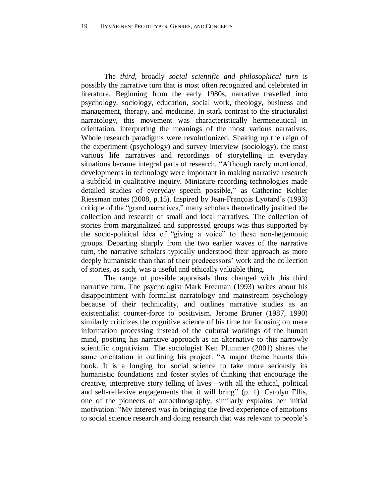The *third*, broadly *social scientific and philosophical turn* is possibly the narrative turn that is most often recognized and celebrated in literature. Beginning from the early 1980s, narrative travelled into psychology, sociology, education, social work, theology, business and management, therapy, and medicine. In stark contrast to the structuralist narratology, this movement was characteristically hermeneutical in orientation, interpreting the meanings of the most various narratives. Whole research paradigms were revolutionized. Shaking up the reign of the experiment (psychology) and survey interview (sociology), the most various life narratives and recordings of storytelling in everyday situations became integral parts of research. "Although rarely mentioned, developments in technology were important in making narrative research a subfield in qualitative inquiry. Miniature recording technologies made detailed studies of everyday speech possible," as Catherine Kohler Riessman notes (2008, p.15). Inspired by Jean-François Lyotard's (1993) critique of the "grand narratives," many scholars theoretically justified the collection and research of small and local narratives. The collection of stories from marginalized and suppressed groups was thus supported by the socio-political idea of "giving a voice" to these non-hegemonic groups. Departing sharply from the two earlier waves of the narrative turn, the narrative scholars typically understood their approach as more deeply humanistic than that of their predecessors' work and the collection of stories, as such, was a useful and ethically valuable thing.

The range of possible appraisals thus changed with this third narrative turn. The psychologist Mark Freeman (1993) writes about his disappointment with formalist narratology and mainstream psychology because of their technicality, and outlines narrative studies as an existentialist counter-force to positivism. Jerome Bruner (1987, 1990) similarly criticizes the cognitive science of his time for focusing on mere information processing instead of the cultural workings of the human mind, positing his narrative approach as an alternative to this narrowly scientific cognitivism. The sociologist Ken Plummer (2001) shares the same orientation in outlining his project: "A major theme haunts this book. It is a longing for social science to take more seriously its humanistic foundations and foster styles of thinking that encourage the creative, interpretive story telling of lives—with all the ethical, political and self-reflexive engagements that it will bring" (p. 1). Carolyn Ellis, one of the pioneers of autoethnography, similarly explains her initial motivation: "My interest was in bringing the lived experience of emotions to social science research and doing research that was relevant to people's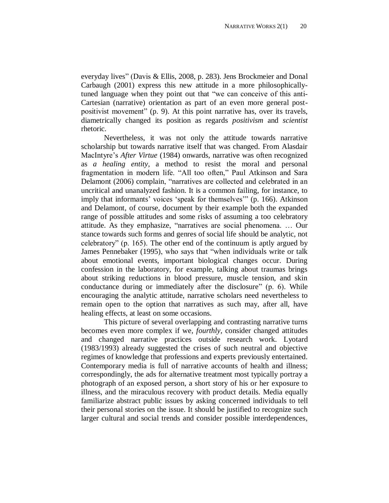everyday lives" (Davis & Ellis, 2008, p. 283). Jens Brockmeier and Donal Carbaugh (2001) express this new attitude in a more philosophicallytuned language when they point out that "we can conceive of this anti-Cartesian (narrative) orientation as part of an even more general postpositivist movement" (p. 9). At this point narrative has, over its travels, diametrically changed its position as regards *positivism* and *scientist* rhetoric.

Nevertheless, it was not only the attitude towards narrative scholarship but towards narrative itself that was changed. From Alasdair MacIntyre's *After Virtue* (1984) onwards, narrative was often recognized as *a healing entity*, a method to resist the moral and personal fragmentation in modern life. "All too often," Paul Atkinson and Sara Delamont (2006) complain, "narratives are collected and celebrated in an uncritical and unanalyzed fashion. It is a common failing, for instance, to imply that informants' voices 'speak for themselves'" (p. 166). Atkinson and Delamont, of course, document by their example both the expanded range of possible attitudes and some risks of assuming a too celebratory attitude. As they emphasize, "narratives are social phenomena. … Our stance towards such forms and genres of social life should be analytic, not celebratory" (p. 165). The other end of the continuum is aptly argued by James Pennebaker (1995), who says that "when individuals write or talk about emotional events, important biological changes occur. During confession in the laboratory, for example, talking about traumas brings about striking reductions in blood pressure, muscle tension, and skin conductance during or immediately after the disclosure" (p. 6). While encouraging the analytic attitude, narrative scholars need nevertheless to remain open to the option that narratives as such may, after all, have healing effects, at least on some occasions.

This picture of several overlapping and contrasting narrative turns becomes even more complex if we, *fourthly*, consider changed attitudes and changed narrative practices outside research work. Lyotard (1983/1993) already suggested the crises of such neutral and objective regimes of knowledge that professions and experts previously entertained. Contemporary media is full of narrative accounts of health and illness; correspondingly, the ads for alternative treatment most typically portray a photograph of an exposed person, a short story of his or her exposure to illness, and the miraculous recovery with product details. Media equally familiarize abstract public issues by asking concerned individuals to tell their personal stories on the issue. It should be justified to recognize such larger cultural and social trends and consider possible interdependences,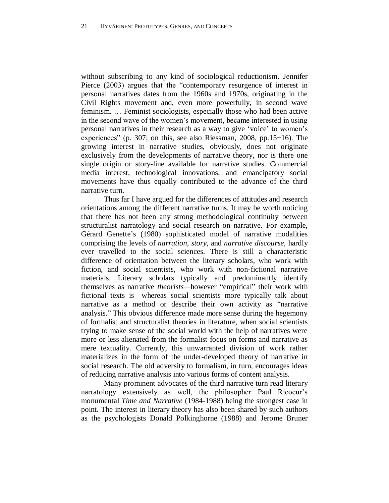without subscribing to any kind of sociological reductionism. Jennifer Pierce (2003) argues that the "contemporary resurgence of interest in personal narratives dates from the 1960s and 1970s, originating in the Civil Rights movement and, even more powerfully, in second wave feminism. … Feminist sociologists, especially those who had been active in the second wave of the women's movement, became interested in using personal narratives in their research as a way to give 'voice' to women's experiences" (p. 307; on this, see also Riessman, 2008, pp.15−16). The growing interest in narrative studies, obviously, does not originate exclusively from the developments of narrative theory, nor is there one single origin or story-line available for narrative studies. Commercial media interest, technological innovations, and emancipatory social movements have thus equally contributed to the advance of the third narrative turn.

Thus far I have argued for the differences of attitudes and research orientations among the different narrative turns. It may be worth noticing that there has not been any strong methodological continuity between structuralist narratology and social research on narrative. For example, Gérard Genette's (1980) sophisticated model of narrative modalities comprising the levels of *narration*, *story*, and *narrative discourse*, hardly ever travelled to the social sciences. There is still a characteristic difference of orientation between the literary scholars, who work with fiction, and social scientists, who work with non-fictional narrative materials. Literary scholars typically and predominantly identify themselves as narrative *theorists—*however "empirical" their work with fictional texts is—whereas social scientists more typically talk about narrative as a method or describe their own activity as "narrative analysis." This obvious difference made more sense during the hegemony of formalist and structuralist theories in literature, when social scientists trying to make sense of the social world with the help of narratives were more or less alienated from the formalist focus on forms and narrative as mere textuality. Currently, this unwarranted division of work rather materializes in the form of the under-developed theory of narrative in social research. The old adversity to formalism, in turn, encourages ideas of reducing narrative analysis into various forms of content analysis.

Many prominent advocates of the third narrative turn read literary narratology extensively as well, the philosopher Paul Ricoeur's monumental *Time and Narrative* (1984-1988) being the strongest case in point. The interest in literary theory has also been shared by such authors as the psychologists Donald Polkinghorne (1988) and Jerome Bruner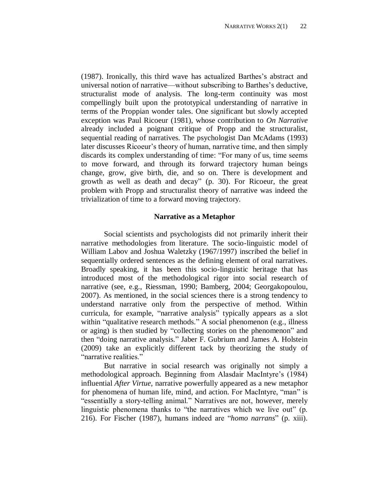(1987). Ironically, this third wave has actualized Barthes's abstract and universal notion of narrative—without subscribing to Barthes's deductive, structuralist mode of analysis. The long-term continuity was most compellingly built upon the prototypical understanding of narrative in terms of the Proppian wonder tales. One significant but slowly accepted exception was Paul Ricoeur (1981), whose contribution to *On Narrative* already included a poignant critique of Propp and the structuralist, sequential reading of narratives. The psychologist Dan McAdams (1993) later discusses Ricoeur's theory of human, narrative time, and then simply discards its complex understanding of time: "For many of us, time seems to move forward, and through its forward trajectory human beings change, grow, give birth, die, and so on. There is development and growth as well as death and decay" (p. 30). For Ricoeur, the great problem with Propp and structuralist theory of narrative was indeed the trivialization of time to a forward moving trajectory.

## **Narrative as a Metaphor**

Social scientists and psychologists did not primarily inherit their narrative methodologies from literature. The socio-linguistic model of William Labov and Joshua Waletzky (1967/1997) inscribed the belief in sequentially ordered sentences as the defining element of oral narratives. Broadly speaking, it has been this socio-linguistic heritage that has introduced most of the methodological rigor into social research of narrative (see, e.g., Riessman, 1990; Bamberg, 2004; Georgakopoulou, 2007). As mentioned, in the social sciences there is a strong tendency to understand narrative only from the perspective of method. Within curricula, for example, "narrative analysis" typically appears as a slot within "qualitative research methods." A social phenomenon (e.g., illness or aging) is then studied by "collecting stories on the phenomenon" and then "doing narrative analysis." Jaber F. Gubrium and James A. Holstein (2009) take an explicitly different tack by theorizing the study of "narrative realities."

But narrative in social research was originally not simply a methodological approach. Beginning from Alasdair MacIntyre's (1984) influential *After Virtue*, narrative powerfully appeared as a new metaphor for phenomena of human life, mind, and action. For MacIntyre, "man" is "essentially a story-telling animal." Narratives are not, however, merely linguistic phenomena thanks to "the narratives which we live out" (p. 216). For Fischer (1987), humans indeed are "*homo narrans*" (p. xiii).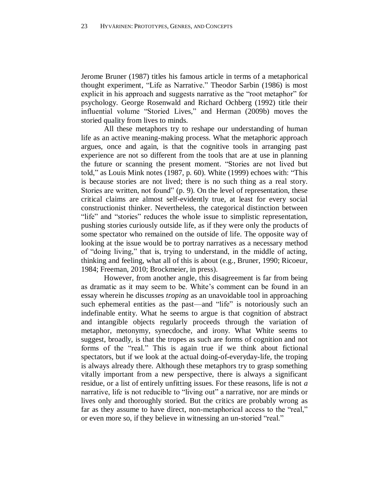Jerome Bruner (1987) titles his famous article in terms of a metaphorical thought experiment, "Life as Narrative." Theodor Sarbin (1986) is most explicit in his approach and suggests narrative as the "root metaphor" for psychology. George Rosenwald and Richard Ochberg (1992) title their influential volume "Storied Lives," and Herman (2009b) moves the storied quality from lives to minds.

All these metaphors try to reshape our understanding of human life as an active meaning-making process. What the metaphoric approach argues, once and again, is that the cognitive tools in arranging past experience are not so different from the tools that are at use in planning the future or scanning the present moment. "Stories are not lived but told," as Louis Mink notes (1987, p. 60). White (1999) echoes with: "This is because stories are not lived; there is no such thing as a real story. Stories are written, not found" (p. 9). On the level of representation, these critical claims are almost self-evidently true, at least for every social constructionist thinker. Nevertheless, the categorical distinction between "life" and "stories" reduces the whole issue to simplistic representation, pushing stories curiously outside life, as if they were only the products of some spectator who remained on the outside of life. The opposite way of looking at the issue would be to portray narratives as a necessary method of "doing living," that is, trying to understand, in the middle of acting, thinking and feeling, what all of this is about (e.g., Bruner, 1990; Ricoeur, 1984; Freeman, 2010; Brockmeier, in press).

However, from another angle, this disagreement is far from being as dramatic as it may seem to be. White's comment can be found in an essay wherein he discusses *troping* as an unavoidable tool in approaching such ephemeral entities as the past—and "life" is notoriously such an indefinable entity. What he seems to argue is that cognition of abstract and intangible objects regularly proceeds through the variation of metaphor, metonymy, synecdoche, and irony. What White seems to suggest, broadly, is that the tropes as such are forms of cognition and not forms of the "real." This is again true if we think about fictional spectators, but if we look at the actual doing-of-everyday-life, the troping is always already there. Although these metaphors try to grasp something vitally important from a new perspective, there is always a significant residue, or a list of entirely unfitting issues. For these reasons, life is not *a* narrative, life is not reducible to "living out" a narrative, nor are minds or lives only and thoroughly storied. But the critics are probably wrong as far as they assume to have direct, non-metaphorical access to the "real," or even more so, if they believe in witnessing an un-storied "real."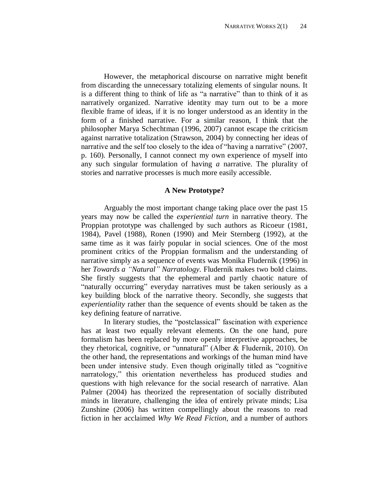However, the metaphorical discourse on narrative might benefit from discarding the unnecessary totalizing elements of singular nouns. It is a different thing to think of life as "a narrative" than to think of it as narratively organized. Narrative identity may turn out to be a more flexible frame of ideas, if it is no longer understood as an identity in the form of a finished narrative. For a similar reason, I think that the philosopher Marya Schechtman (1996, 2007) cannot escape the criticism against narrative totalization (Strawson, 2004) by connecting her ideas of narrative and the self too closely to the idea of "having a narrative" (2007, p. 160). Personally, I cannot connect my own experience of myself into any such singular formulation of having *a* narrative. The plurality of stories and narrative processes is much more easily accessible.

## **A New Prototype?**

Arguably the most important change taking place over the past 15 years may now be called the *experiential turn* in narrative theory. The Proppian prototype was challenged by such authors as Ricoeur (1981, 1984), Pavel (1988), Ronen (1990) and Meir Sternberg (1992), at the same time as it was fairly popular in social sciences. One of the most prominent critics of the Proppian formalism and the understanding of narrative simply as a sequence of events was Monika Fludernik (1996) in her *Towards a "Natural" Narratology.* Fludernik makes two bold claims. She firstly suggests that the ephemeral and partly chaotic nature of "naturally occurring" everyday narratives must be taken seriously as a key building block of the narrative theory. Secondly, she suggests that *experientiality* rather than the sequence of events should be taken as the key defining feature of narrative.

In literary studies, the "postclassical" fascination with experience has at least two equally relevant elements. On the one hand, pure formalism has been replaced by more openly interpretive approaches, be they rhetorical, cognitive, or "unnatural" (Alber & Fludernik, 2010). On the other hand, the representations and workings of the human mind have been under intensive study. Even though originally titled as "cognitive narratology," this orientation nevertheless has produced studies and questions with high relevance for the social research of narrative. Alan Palmer (2004) has theorized the representation of socially distributed minds in literature, challenging the idea of entirely private minds; Lisa Zunshine (2006) has written compellingly about the reasons to read fiction in her acclaimed *Why We Read Fiction*, and a number of authors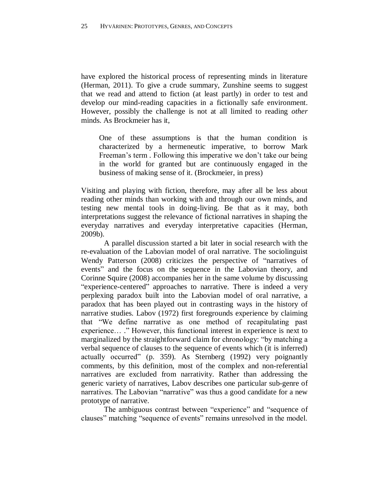have explored the historical process of representing minds in literature (Herman, 2011). To give a crude summary, Zunshine seems to suggest that we read and attend to fiction (at least partly) in order to test and develop our mind-reading capacities in a fictionally safe environment. However, possibly the challenge is not at all limited to reading *other* minds. As Brockmeier has it,

One of these assumptions is that the human condition is characterized by a hermeneutic imperative, to borrow Mark Freeman's term . Following this imperative we don't take our being in the world for granted but are continuously engaged in the business of making sense of it. (Brockmeier, in press)

Visiting and playing with fiction, therefore, may after all be less about reading other minds than working with and through our own minds, and testing new mental tools in doing-living. Be that as it may, both interpretations suggest the relevance of fictional narratives in shaping the everyday narratives and everyday interpretative capacities (Herman, 2009b).

A parallel discussion started a bit later in social research with the re-evaluation of the Labovian model of oral narrative. The sociolinguist Wendy Patterson (2008) criticizes the perspective of "narratives of events" and the focus on the sequence in the Labovian theory, and Corinne Squire (2008) accompanies her in the same volume by discussing "experience-centered" approaches to narrative. There is indeed a very perplexing paradox built into the Labovian model of oral narrative, a paradox that has been played out in contrasting ways in the history of narrative studies. Labov (1972) first foregrounds experience by claiming that "We define narrative as one method of recapitulating past experience… ." However, this functional interest in experience is next to marginalized by the straightforward claim for chronology: "by matching a verbal sequence of clauses to the sequence of events which (it is inferred) actually occurred" (p. 359). As Sternberg (1992) very poignantly comments, by this definition, most of the complex and non-referential narratives are excluded from narrativity. Rather than addressing the generic variety of narratives, Labov describes one particular sub-genre of narratives. The Labovian "narrative" was thus a good candidate for a new prototype of narrative.

The ambiguous contrast between "experience" and "sequence of clauses" matching "sequence of events" remains unresolved in the model.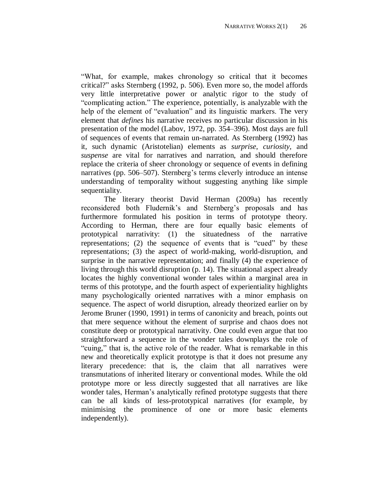"What, for example, makes chronology so critical that it becomes critical?" asks Sternberg (1992, p. 506). Even more so, the model affords very little interpretative power or analytic rigor to the study of "complicating action." The experience, potentially, is analyzable with the help of the element of "evaluation" and its linguistic markers. The very element that *defines* his narrative receives no particular discussion in his presentation of the model (Labov, 1972, pp. 354–396). Most days are full of sequences of events that remain un-narrated. As Sternberg (1992) has it, such dynamic (Aristotelian) elements as *surprise*, *curiosity,* and *suspense* are vital for narratives and narration, and should therefore replace the criteria of sheer chronology or sequence of events in defining narratives (pp. 506–507). Sternberg's terms cleverly introduce an intense understanding of temporality without suggesting anything like simple sequentiality.

The literary theorist David Herman (2009a) has recently reconsidered both Fludernik's and Sternberg's proposals and has furthermore formulated his position in terms of prototype theory. According to Herman, there are four equally basic elements of prototypical narrativity: (1) the situatedness of the narrative representations; (2) the sequence of events that is "cued" by these representations; (3) the aspect of world-making, world-disruption, and surprise in the narrative representation; and finally (4) the experience of living through this world disruption (p. 14). The situational aspect already locates the highly conventional wonder tales within a marginal area in terms of this prototype, and the fourth aspect of experientiality highlights many psychologically oriented narratives with a minor emphasis on sequence. The aspect of world disruption, already theorized earlier on by Jerome Bruner (1990, 1991) in terms of canonicity and breach, points out that mere sequence without the element of surprise and chaos does not constitute deep or prototypical narrativity. One could even argue that too straightforward a sequence in the wonder tales downplays the role of "cuing," that is, the active role of the reader. What is remarkable in this new and theoretically explicit prototype is that it does not presume any literary precedence: that is, the claim that all narratives were transmutations of inherited literary or conventional modes. While the old prototype more or less directly suggested that all narratives are like wonder tales, Herman's analytically refined prototype suggests that there can be all kinds of less-prototypical narratives (for example, by minimising the prominence of one or more basic elements independently).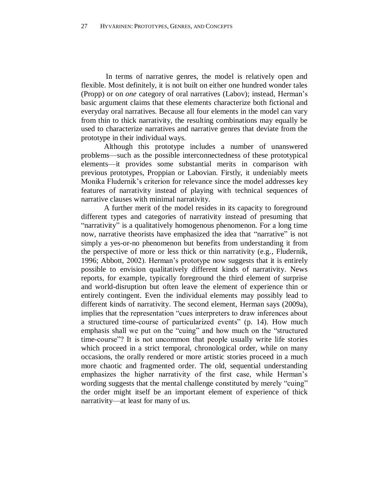In terms of narrative genres, the model is relatively open and flexible. Most definitely, it is not built on either one hundred wonder tales (Propp) or on *one* category of oral narratives (Labov); instead, Herman's basic argument claims that these elements characterize both fictional and everyday oral narratives. Because all four elements in the model can vary from thin to thick narrativity, the resulting combinations may equally be used to characterize narratives and narrative genres that deviate from the prototype in their individual ways.

Although this prototype includes a number of unanswered problems—such as the possible interconnectedness of these prototypical elements—it provides some substantial merits in comparison with previous prototypes, Proppian or Labovian. Firstly, it undeniably meets Monika Fludernik's criterion for relevance since the model addresses key features of narrativity instead of playing with technical sequences of narrative clauses with minimal narrativity.

A further merit of the model resides in its capacity to foreground different types and categories of narrativity instead of presuming that "narrativity" is a qualitatively homogenous phenomenon. For a long time now, narrative theorists have emphasized the idea that "narrative" is not simply a yes-or-no phenomenon but benefits from understanding it from the perspective of more or less thick or thin narrativity (e.g., Fludernik, 1996; Abbott, 2002). Herman's prototype now suggests that it is entirely possible to envision qualitatively different kinds of narrativity. News reports, for example, typically foreground the third element of surprise and world-disruption but often leave the element of experience thin or entirely contingent. Even the individual elements may possibly lead to different kinds of narrativity. The second element, Herman says (2009a), implies that the representation "cues interpreters to draw inferences about a structured time-course of particularized events" (p. 14). How much emphasis shall we put on the "cuing" and how much on the "structured time-course"? It is not uncommon that people usually write life stories which proceed in a strict temporal, chronological order, while on many occasions, the orally rendered or more artistic stories proceed in a much more chaotic and fragmented order. The old, sequential understanding emphasizes the higher narrativity of the first case, while Herman's wording suggests that the mental challenge constituted by merely "cuing" the order might itself be an important element of experience of thick narrativity—at least for many of us.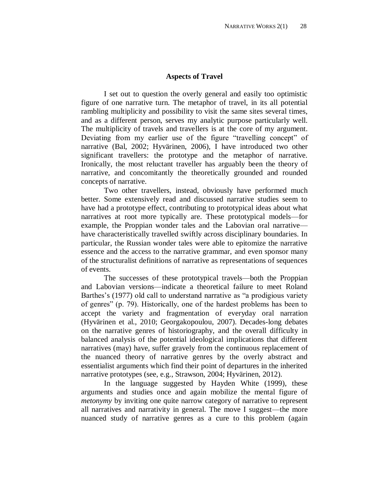### **Aspects of Travel**

I set out to question the overly general and easily too optimistic figure of one narrative turn. The metaphor of travel, in its all potential rambling multiplicity and possibility to visit the same sites several times, and as a different person, serves my analytic purpose particularly well. The multiplicity of travels and travellers is at the core of my argument. Deviating from my earlier use of the figure "travelling concept" of narrative (Bal, 2002; Hyvärinen, 2006), I have introduced two other significant travellers: the prototype and the metaphor of narrative. Ironically, the most reluctant traveller has arguably been the theory of narrative, and concomitantly the theoretically grounded and rounded concepts of narrative.

Two other travellers, instead, obviously have performed much better. Some extensively read and discussed narrative studies seem to have had a prototype effect, contributing to prototypical ideas about what narratives at root more typically are. These prototypical models—for example, the Proppian wonder tales and the Labovian oral narrative have characteristically travelled swiftly across disciplinary boundaries. In particular, the Russian wonder tales were able to epitomize the narrative essence and the access to the narrative grammar, and even sponsor many of the structuralist definitions of narrative as representations of sequences of events.

The successes of these prototypical travels—both the Proppian and Labovian versions—indicate a theoretical failure to meet Roland Barthes's (1977) old call to understand narrative as "a prodigious variety of genres" (p. 79). Historically, one of the hardest problems has been to accept the variety and fragmentation of everyday oral narration (Hyvärinen et al., 2010; Georgakopoulou, 2007). Decades-long debates on the narrative genres of historiography, and the overall difficulty in balanced analysis of the potential ideological implications that different narratives (may) have, suffer gravely from the continuous replacement of the nuanced theory of narrative genres by the overly abstract and essentialist arguments which find their point of departures in the inherited narrative prototypes (see, e.g., Strawson, 2004; Hyvärinen, 2012).

In the language suggested by Hayden White (1999), these arguments and studies once and again mobilize the mental figure of *metonymy* by inviting one quite narrow category of narrative to represent all narratives and narrativity in general. The move I suggest—the more nuanced study of narrative genres as a cure to this problem (again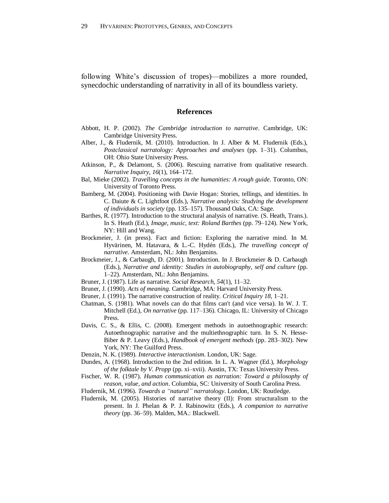following White's discussion of tropes)—mobilizes a more rounded, synecdochic understanding of narrativity in all of its boundless variety.

### **References**

- Abbott, H. P. (2002). *The Cambridge introduction to narrative*. Cambridge, UK: Cambridge University Press.
- Alber, J., & Fludernik, M. (2010). Introduction. In J. Alber & M. Fludernik (Eds.), *Postclassical narratology: Approaches and analyses* (pp. 1–31). Columbus, OH: Ohio State University Press.
- Atkinson, P., & Delamont, S. (2006). Rescuing narrative from qualitative research. *Narrative Inquiry, 16*(1), 164–172.
- Bal, Mieke (2002). *Travelling concepts in the humanities: A rough guide*. Toronto, ON: University of Toronto Press.
- Bamberg, M. (2004). Positioning with Davie Hogan: Stories, tellings, and identities. In C. Daiute & C. Lightfoot (Eds.), *Narrative analysis: Studying the development of individuals in society* (pp. 135–157). Thousand Oaks, CA: Sage.
- Barthes, R. (1977). Introduction to the structural analysis of narrative. (S. Heath, Trans.). In S. Heath (Ed.), *Image, music, text: Roland Barthes* (pp. 79–124). New York, NY: Hill and Wang.
- Brockmeier, J. (in press). Fact and fiction: Exploring the narrative mind. In M. Hyvärinen, M. Hatavara, & L.-C. Hydén (Eds.), *The travelling concept of narrative*. Amsterdam, NL: John Benjamins.
- Brockmeier, J., & Carbaugh, D. (2001). Introduction. In J. Brockmeier & D. Carbaugh (Eds.), *Narrative and identity: Studies in autobiography, self and culture* (pp. 1–22). Amsterdam, NL: John Benjamins.
- Bruner, J. (1987). Life as narrative. *Social Research, 54*(1), 11–32.
- Bruner, J. (1990). *Acts of meaning*. Cambridge, MA: Harvard University Press.
- Bruner, J. (1991). The narrative construction of reality. *Critical Inquiry 18*, 1–21.
- Chatman, S. (1981). What novels can do that films can't (and vice versa). In W. J. T. Mitchell (Ed.), *On narrative* (pp. 117–136). Chicago, IL: University of Chicago Press.
- Davis, C. S., & Ellis, C. (2008). Emergent methods in autoethnographic research: Autoethnographic narrative and the multiethnographic turn. In S. N. Hesse-Biber & P. Leavy (Eds.), *Handbook of emergent methods* (pp. 283–302). New York, NY: The Guilford Press.
- Denzin, N. K. (1989). *Interactive interactionism*. London, UK: Sage.
- Dundes, A. (1968). Introduction to the 2nd edition. In L. A. Wagner (Ed.), *Morphology of the folktale by V. Propp* (pp. xi–xvii). Austin, TX: Texas University Press.
- Fischer, W. R. (1987). *Human communication as narration: Toward a philosophy of reason, value, and action*. Columbia, SC: University of South Carolina Press.
- Fludernik, M. (1996). *Towards a "natural" narratology*. London, UK: Routledge.
- Fludernik, M. (2005). Histories of narrative theory (II): From structuralism to the present. In J. Phelan & P. J. Rabinowitz (Eds.), *A companion to narrative theory* (pp. 36–59). Malden, MA.: Blackwell.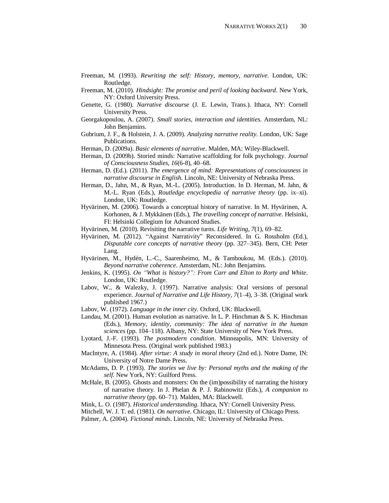- Freeman, M. (1993). *Rewriting the self: History, memory, narrative*. London, UK: Routledge.
- Freeman, M. (2010). *Hindsight: The promise and peril of looking backward*. New York, NY: Oxford University Press.
- Genette, G. (1980). *Narrative discourse* (J. E. Lewin, Trans.). Ithaca, NY: Cornell University Press.
- Georgakopoulou, A. (2007). *Small stories, interaction and identities*. Amsterdam, NL: John Benjamins.
- Gubrium, J. F., & Holstein, J. A. (2009). *Analyzing narrative reality*. London, UK: Sage Publications.
- Herman, D. (2009a). *Basic elements of narrative*. Malden, MA: Wiley-Blackwell.
- Herman, D. (2009b). Storied minds: Narrative scaffolding for folk psychology. *Journal of Consciousness Studies, 16*(6-8), 40–68.
- Herman, D. (Ed.). (2011). *The emergence of mind: Representations of consciousness in narrative discourse in English*. Lincoln, NE: University of Nebraska Press.
- Herman, D., Jahn, M., & Ryan, M.-L. (2005). Introduction. In D. Herman, M. Jahn, & M.-L. Ryan (Eds.), *Routledge encyclopedia of narrative theory* (pp. ix–xi). London, UK: Routledge.
- Hyvärinen, M. (2006). Towards a conceptual history of narrative. In M. Hyvärinen, A. Korhonen, & J. Mykkänen (Eds.), *The travelling concept of narrative*. Helsinki, FI: Helsinki Collegium for Advanced Studies.
- Hyvärinen, M. (2010). Revisiting the narrative turns. *Life Writing, 7*(1), 69–82.
- Hyvärinen, M. (2012). "Against Narrativity" Reconsidered. In G. Rossholm (Ed.), *Disputable core concepts of narrative theory* (pp. 327–345). Bern, CH: Peter Lang.
- Hyvärinen, M., Hydén, L.-C., Saarenheimo, M., & Tamboukou, M. (Eds.). (2010). *Beyond narrative coherence*. Amsterdam, NL: John Benjamins.
- Jenkins, K. (1995). *On "What is history?": From Carr and Elton to Rorty and White*. London, UK: Routledge.
- Labov, W., & Walezky, J. (1997). Narrative analysis: Oral versions of personal experience. *Journal of Narrative and Life History, 7*(1–4), 3–38. (Original work published 1967.)
- Labov, W. (1972). *Language in the inner city*. Oxford, UK: Blackwell.
- Landau, M. (2001). Human evolution as narrative. In L. P. Hinchman & S. K. Hinchman (Eds.), *Memory, identity, community: The idea of narrative in the human sciences* (pp. 104–118). Albany, NY: State University of New York Press.
- Lyotard, J.-F. (1993). *The postmodern condition*. Minneapolis, MN: University of Minnesota Press. (Original work published 1983.)
- MacIntyre, A. (1984). *After virtue: A study in moral theory* (2nd ed.). Notre Dame, IN: University of Notre Dame Press.
- McAdams, D. P. (1993). *The stories we live by: Personal myths and the making of the self*. New York, NY: Guilford Press.
- McHale, B. (2005). Ghosts and monsters: On the (im)possibility of narrating the history of narrative theory. In J. Phelan & P. J. Rabinowitz (Eds.), *A companion to narrative theory* (pp. 60–71). Malden, MA: Blackwell.
- Mink, L. O. (1987). *Historical understanding*. Ithaca, NY: Cornell University Press.
- Mitchell, W. J. T. ed. (1981). *On narrative*. Chicago, IL: University of Chicago Press.
- Palmer, A. (2004). *Fictional minds*. Lincoln, NE: University of Nebraska Press.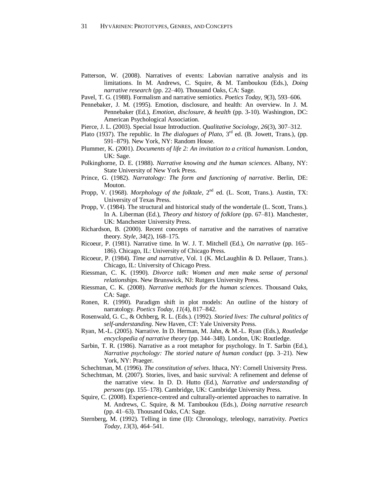- Patterson, W. (2008). Narratives of events: Labovian narrative analysis and its limitations. In M. Andrews, C. Squire, & M. Tamboukou (Eds.), *Doing narrative research* (pp. 22–40). Thousand Oaks, CA: Sage.
- Pavel, T. G. (1988). Formalism and narrative semiotics. *Poetics Today, 9*(3), 593–606.
- Pennebaker, J. M. (1995). Emotion, disclosure, and health: An overview. In J. M. Pennebaker (Ed.), *Emotion, disclosure, & health* (pp. 3-10). Washington, DC: American Psychological Association.
- Pierce, J. L. (2003). Special Issue Introduction. *Qualitative Sociology, 26*(3), 307–312.
- Plato (1937). The republic. In *The dialogues of Plato*, 3rd ed. (B. Jowett, Trans.), (pp. 591–879). New York, NY: Random House.
- Plummer, K. (2001). *Documents of life 2: An invitation to a critical humanism*. London, UK: Sage.
- Polkinghorne, D. E. (1988). *Narrative knowing and the human sciences*. Albany, NY: State University of New York Press.
- Prince, G. (1982). *Narratology: The form and functioning of narrative*. Berlin, DE: Mouton.
- Propp, V. (1968). *Morphology of the folktale*, 2<sup>nd</sup> ed. (L. Scott, Trans.). Austin, TX: University of Texas Press.
- Propp, V. (1984). The structural and historical study of the wondertale (L. Scott, Trans.). In A. Liberman (Ed.), *Theory and history of folklore* (pp. 67–81). Manchester, UK: Manchester University Press.
- Richardson, B. (2000). Recent concepts of narrative and the narratives of narrative theory. *Style, 34*(2), 168–175.
- Ricoeur, P. (1981). Narrative time. In W. J. T. Mitchell (Ed.), *On narrative* (pp. 165– 186). Chicago, IL: University of Chicago Press.
- Ricoeur, P. (1984). *Time and narrative*, Vol. 1 (K. McLaughlin & D. Pellauer, Trans.). Chicago, IL: University of Chicago Press.
- Riessman, C. K. (1990). *Divorce talk: Women and men make sense of personal relationships*. New Brunswick, NJ: Rutgers University Press.
- Riessman, C. K*.* (2008). *Narrative methods for the human sciences*. Thousand Oaks, CA: Sage.
- Ronen, R. (1990). Paradigm shift in plot models: An outline of the history of narratology. *Poetics Today, 11*(4), 817–842.
- Rosenwald, G. C., & Ochberg, R. L. (Eds.). (1992). *Storied lives: The cultural politics of self-understanding*. New Haven, CT: Yale University Press.
- Ryan, M.-L. (2005). Narrative. In D. Herman, M. Jahn, & M.-L. Ryan (Eds.), *Routledge encyclopedia of narrative theory* (pp. 344–348). London, UK: Routledge.
- Sarbin, T. R. (1986). Narrative as a root metaphor for psychology. In T. Sarbin (Ed.), *Narrative psychology: The storied nature of human conduct* (pp. 3–21). New York, NY: Praeger.
- Schechtman, M. (1996). *The constitution of selves*. Ithaca, NY: Cornell University Press.
- Schechtman, M. (2007). Stories, lives, and basic survival: A refinement and defense of the narrative view. In D. D. Hutto (Ed.), *Narrative and understanding of persons* (pp. 155–178). Cambridge, UK: Cambridge University Press.
- Squire, C. (2008). Experience-centred and culturally-oriented approaches to narrative. In M. Andrews, C. Squire, & M. Tamboukou (Eds.), *Doing narrative research* (pp. 41–63). Thousand Oaks, CA: Sage.
- Sternberg, M. (1992). Telling in time (II): Chronology, teleology, narrativity. *Poetics Today, 13*(3), 464–541.